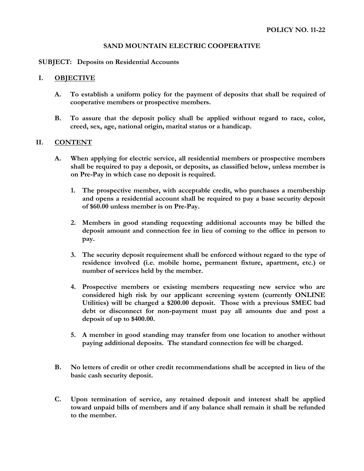# **SAND MOUNTAIN ELECTRIC COOPERATIVE**

### **SUBJECT: Deposits on Residential Accounts**

# **I. OBJECTIVE**

- **A. To establish a uniform policy for the payment of deposits that shall be required of cooperative members or prospective members.**
- **B. To assure that the deposit policy shall be applied without regard to race, color, creed, sex, age, national origin, marital status or a handicap.**

# **II. CONTENT**

- **A. When applying for electric service, all residential members or prospective members shall be required to pay a deposit, or deposits, as classified below, unless member is on Pre-Pay in which case no deposit is required.** 
	- **1. The prospective member, with acceptable credit, who purchases a membership and opens a residential account shall be required to pay a base security deposit of \$60.00 unless member is on Pre-Pay.**
	- **2. Members in good standing requesting additional accounts may be billed the deposit amount and connection fee in lieu of coming to the office in person to pay.**
	- **3. The security deposit requirement shall be enforced without regard to the type of residence involved (i.e. mobile home, permanent fixture, apartment, etc.) or number of services held by the member.**
	- **4. Prospective members or existing members requesting new service who are considered high risk by our applicant screening system (currently ONLINE Utilities) will be charged a \$200.00 deposit. Those with a previous SMEC bad debt or disconnect for non-payment must pay all amounts due and post a deposit of up to \$400.00.**
	- **5. A member in good standing may transfer from one location to another without paying additional deposits. The standard connection fee will be charged.**
- **B. No letters of credit or other credit recommendations shall be accepted in lieu of the basic cash security deposit.**
- **C. Upon termination of service, any retained deposit and interest shall be applied toward unpaid bills of members and if any balance shall remain it shall be refunded to the member.**